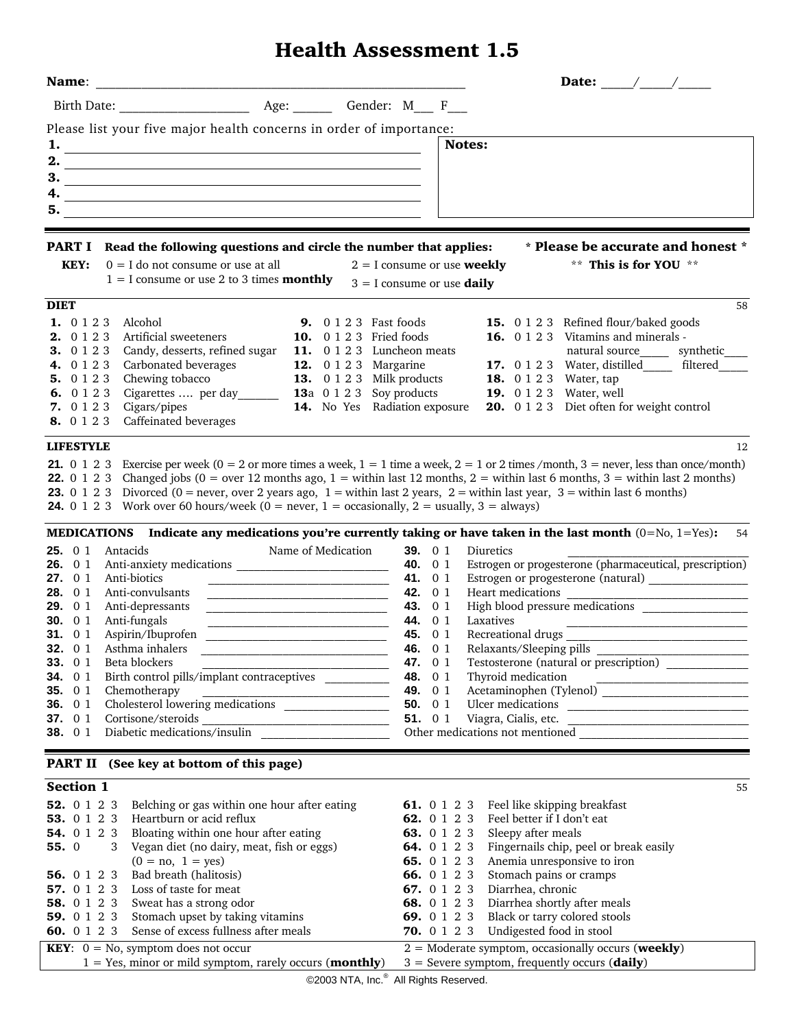## **Health Assessment 1.5**

| Name:                                                                                                                                                                                                                                                                                                                                                                                                                                                                                                                                                                                                                                                                                                                                                                                                                                                                                                                                                                                                                                                                                                                                                                                                           |                                                                                                                                                                                                                                                                                                                                                                                                                                                     |
|-----------------------------------------------------------------------------------------------------------------------------------------------------------------------------------------------------------------------------------------------------------------------------------------------------------------------------------------------------------------------------------------------------------------------------------------------------------------------------------------------------------------------------------------------------------------------------------------------------------------------------------------------------------------------------------------------------------------------------------------------------------------------------------------------------------------------------------------------------------------------------------------------------------------------------------------------------------------------------------------------------------------------------------------------------------------------------------------------------------------------------------------------------------------------------------------------------------------|-----------------------------------------------------------------------------------------------------------------------------------------------------------------------------------------------------------------------------------------------------------------------------------------------------------------------------------------------------------------------------------------------------------------------------------------------------|
|                                                                                                                                                                                                                                                                                                                                                                                                                                                                                                                                                                                                                                                                                                                                                                                                                                                                                                                                                                                                                                                                                                                                                                                                                 |                                                                                                                                                                                                                                                                                                                                                                                                                                                     |
| Please list your five major health concerns in order of importance:                                                                                                                                                                                                                                                                                                                                                                                                                                                                                                                                                                                                                                                                                                                                                                                                                                                                                                                                                                                                                                                                                                                                             |                                                                                                                                                                                                                                                                                                                                                                                                                                                     |
| 1.<br><u> 1980 - Johann Barn, fransk politik (f. 1980)</u><br>2.                                                                                                                                                                                                                                                                                                                                                                                                                                                                                                                                                                                                                                                                                                                                                                                                                                                                                                                                                                                                                                                                                                                                                | Notes:                                                                                                                                                                                                                                                                                                                                                                                                                                              |
| 3.<br><u> 1989 - Johann Stoff, deutscher Stoffen und der Stoffen und der Stoffen und der Stoffen und der Stoffen und der</u>                                                                                                                                                                                                                                                                                                                                                                                                                                                                                                                                                                                                                                                                                                                                                                                                                                                                                                                                                                                                                                                                                    |                                                                                                                                                                                                                                                                                                                                                                                                                                                     |
| 4.<br><u> 1989 - Johann Stein, fransk politik (f. 1989)</u>                                                                                                                                                                                                                                                                                                                                                                                                                                                                                                                                                                                                                                                                                                                                                                                                                                                                                                                                                                                                                                                                                                                                                     |                                                                                                                                                                                                                                                                                                                                                                                                                                                     |
| 5.                                                                                                                                                                                                                                                                                                                                                                                                                                                                                                                                                                                                                                                                                                                                                                                                                                                                                                                                                                                                                                                                                                                                                                                                              |                                                                                                                                                                                                                                                                                                                                                                                                                                                     |
| <b>PART I</b> Read the following questions and circle the number that applies:<br>$0 = I$ do not consume or use at all<br>KEY:<br>$1 = I$ consume or use 2 to 3 times <b>monthly</b>                                                                                                                                                                                                                                                                                                                                                                                                                                                                                                                                                                                                                                                                                                                                                                                                                                                                                                                                                                                                                            | * Please be accurate and honest *<br>** This is for YOU **<br>$2 = I$ consume or use <b>weekly</b><br>$3 = I$ consume or use <b>daily</b>                                                                                                                                                                                                                                                                                                           |
| <b>DIET</b>                                                                                                                                                                                                                                                                                                                                                                                                                                                                                                                                                                                                                                                                                                                                                                                                                                                                                                                                                                                                                                                                                                                                                                                                     | 58                                                                                                                                                                                                                                                                                                                                                                                                                                                  |
| 1. 0 1 2 3<br>Alcohol<br><b>9.</b> 0 1 2 3 Fast foods<br>2. 0 1 2 3<br><b>10.</b> 0 1 2 3 Fried foods<br>Artificial sweeteners<br>Candy, desserts, refined sugar<br>3. 0 1 2 3<br>11. 0 1 2 3 Luncheon meats<br>Carbonated beverages<br><b>12.</b> 0 1 2 3 Margarine<br>4. 0 1 2 3<br>Chewing tobacco<br><b>13.</b> 0 1 2 3 Milk products<br>5. 0 1 2 3<br>Chewing tobacco<br>Cigarettes  per day_______<br><b>13</b> a 0 1 2 3 Soy products<br>6. 0 1 2 3<br>Cigars/pipes<br>14. No Yes Radiation exposure<br>7.0123<br>Caffeinated beverages<br>8. 0 1 2 3                                                                                                                                                                                                                                                                                                                                                                                                                                                                                                                                                                                                                                                    | <b>15.</b> 0 1 2 3 Refined flour/baked goods<br>16. 0 1 2 3 Vitamins and minerals -<br>natural source_______ synthetic_<br>17. 0 1 2 3 Water, distilled_____ filtered_<br><b>18.</b> 0 1 2 3 Water, tap<br><b>19.</b> 0 1 2 3 Water, well<br><b>20.</b> 0 1 2 3 Diet often for weight control                                                                                                                                                       |
| <b>LIFESTYLE</b>                                                                                                                                                                                                                                                                                                                                                                                                                                                                                                                                                                                                                                                                                                                                                                                                                                                                                                                                                                                                                                                                                                                                                                                                | 12                                                                                                                                                                                                                                                                                                                                                                                                                                                  |
| <b>21.</b> 0 1 2 3 Exercise per week ( $0 = 2$ or more times a week, $1 = 1$ time a week, $2 = 1$ or 2 times /month, $3 =$ never, less than once/month)<br>22. 0 1 2 3 Changed jobs ( $0 = over 12$ months ago, $1 = within$ last 12 months, $2 = within$ last 6 months, $3 = within$ last 2 months)<br><b>23.</b> 0 1 2 3 Divorced (0 = never, over 2 years ago, $1$ = within last 2 years, $2$ = within last year, $3$ = within last 6 months)<br><b>24.</b> 0 1 2 3 Work over 60 hours/week ( $0 =$ never, $1 =$ occasionally, $2 =$ usually, $3 =$ always)<br><b>MEDICATIONS</b> Indicate any medications you're currently taking or have taken in the last month $(0 = No, 1 = Yes)$ :<br>Name of Medication<br><b>25.</b> $01$<br>Antacids<br><b>26.</b> $01$<br>Anti-biotics<br><b>27.</b> 0 1<br><b>28.</b> $01$<br>Anti-convulsants<br>Anti-depressants<br><b>29.</b> $01$<br>Anti-fungals<br>30. $01$<br><u> 2000 - Jan James James Barnett, fransk politik (d. 18</u><br>Aspirin/Ibuprofen<br>31. $01$<br>32. 0 1 Asthma inhalers<br>33. $01$<br>Beta blockers<br>Birth control pills/implant contraceptives<br>34. $01$<br>35. $01$<br>Chemotherapy<br>Cholesterol lowering medications<br>36. $01$ | -54<br>39. $01$<br>Diuretics<br>Estrogen or progesterone (pharmaceutical, prescription)<br>40. 0 1<br>Estrogen or progesterone (natural) ________________<br>41. 0 1<br>42. 0 1<br><b>43.</b> 0 1<br><b>44.</b> 0 1<br>Laxatives<br><b>45.</b> 0 1<br>Recreational drugs<br><b>46.</b> 0 1<br>Testosterone (natural or prescription)<br><b>47.</b> 0 1<br>48. 0 1<br>Thyroid medication<br>49. 0 1<br>50. $01$<br>51. 0 1<br>Viagra, Cialis, etc.   |
| <b>PART II</b> (See key at bottom of this page)                                                                                                                                                                                                                                                                                                                                                                                                                                                                                                                                                                                                                                                                                                                                                                                                                                                                                                                                                                                                                                                                                                                                                                 |                                                                                                                                                                                                                                                                                                                                                                                                                                                     |
| <b>Section 1</b>                                                                                                                                                                                                                                                                                                                                                                                                                                                                                                                                                                                                                                                                                                                                                                                                                                                                                                                                                                                                                                                                                                                                                                                                | 55                                                                                                                                                                                                                                                                                                                                                                                                                                                  |
| 52. 0 1 2 3<br>Belching or gas within one hour after eating<br>53. 0 1 2 3 Heartburn or acid reflux<br><b>54.</b> 0 1 2 3 Bloating within one hour after eating<br>55.0<br>3 Vegan diet (no dairy, meat, fish or eggs)<br>$(0 = no, 1 = yes)$<br>Bad breath (halitosis)<br><b>56.</b> 0 1 2 3<br>57. 0 1 2 3<br>Loss of taste for meat<br><b>58.</b> 0 1 2 3 Sweat has a strong odor<br><b>59.</b> 0 1 2 3 Stomach upset by taking vitamins<br><b>60.</b> 0 1 2 3 Sense of excess fullness after meals                                                                                                                                                                                                                                                                                                                                                                                                                                                                                                                                                                                                                                                                                                          | 61. 0 1 2 3 Feel like skipping breakfast<br>62. 0 1 2 3 Feel better if I don't eat<br>Sleepy after meals<br>63. 0 1 2 3<br>Fingernails chip, peel or break easily<br>64. 0 1 2 3<br>65. 0 1 2 3<br>Anemia unresponsive to iron<br>66. 0 1 2 3<br>Stomach pains or cramps<br>67. 0 1 2 3<br>Diarrhea, chronic<br>Diarrhea shortly after meals<br>68. 0 1 2 3<br>Black or tarry colored stools<br>69. 0 1 2 3<br>70. 0 1 2 3 Undigested food in stool |
| <b>KEY</b> : $0 = No$ , symptom does not occur<br>$1 = Yes$ , minor or mild symptom, rarely occurs (monthly)                                                                                                                                                                                                                                                                                                                                                                                                                                                                                                                                                                                                                                                                                                                                                                                                                                                                                                                                                                                                                                                                                                    | $2 =$ Moderate symptom, occasionally occurs (weekly)<br>$3 =$ Severe symptom, frequently occurs (daily)                                                                                                                                                                                                                                                                                                                                             |
| $\odot$ 2002 NTA Ing $\overset{\circ}{\circ}$ All Bights Becoming                                                                                                                                                                                                                                                                                                                                                                                                                                                                                                                                                                                                                                                                                                                                                                                                                                                                                                                                                                                                                                                                                                                                               |                                                                                                                                                                                                                                                                                                                                                                                                                                                     |

©2003 NTA, Inc.<sup>®</sup> All Rights Reserved.

 $\overline{\phantom{a}}$  $\overline{\mathsf{I}}$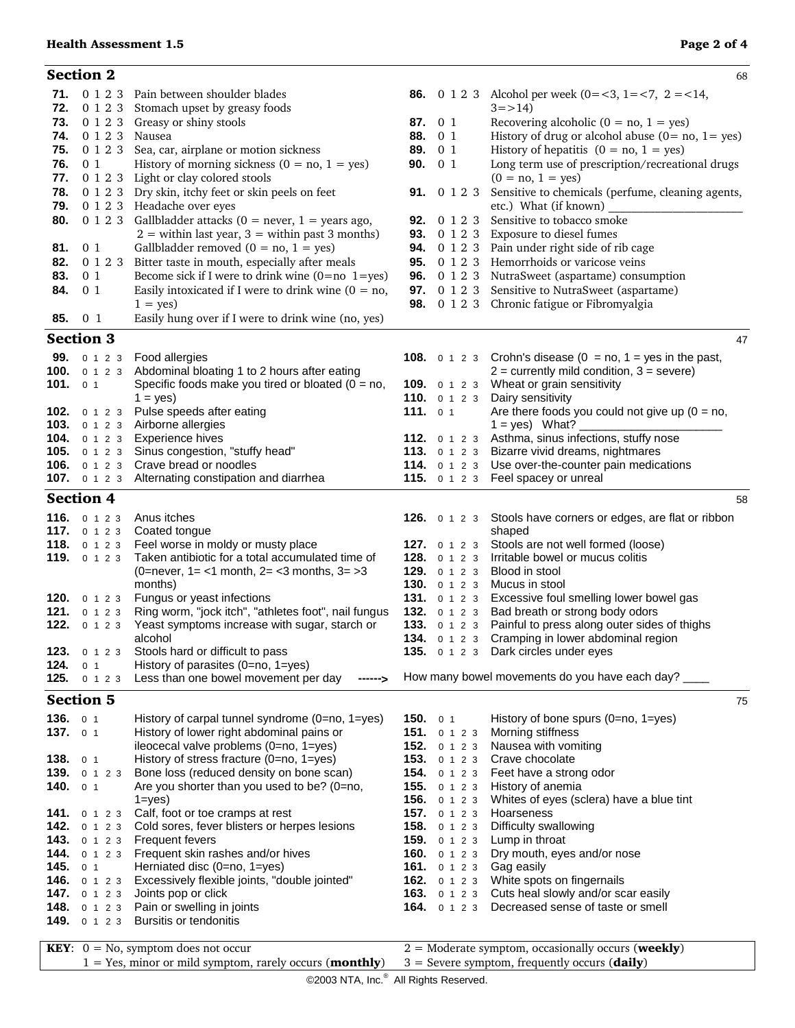## **Health Assessment 1.5 Page 2 of 4**

|              | <b>Section 2</b>          |                                                                                        |                   |                                                | 68                                                                                                 |
|--------------|---------------------------|----------------------------------------------------------------------------------------|-------------------|------------------------------------------------|----------------------------------------------------------------------------------------------------|
|              |                           | 71. 0 1 2 3 Pain between shoulder blades                                               |                   |                                                | <b>86.</b> 0 1 2 3 Alcohol per week (0=<3, 1=<7, 2 = <14,                                          |
| 72.          |                           | 0 1 2 3 Stomach upset by greasy foods                                                  |                   |                                                | $3 = > 14$                                                                                         |
| 73.          |                           | 0 1 2 3 Greasy or shiny stools                                                         |                   | 87. 0 1                                        | Recovering alcoholic ( $0 = no$ , $1 = yes$ )                                                      |
| 74.          | 0 1 2 3 Nausea            |                                                                                        |                   | 88. 0 1                                        | History of drug or alcohol abuse $(0 = no, 1 = yes)$                                               |
| 75.          | 0 1 2 3                   | Sea, car, airplane or motion sickness                                                  |                   | 89. 0 1                                        | History of hepatitis $(0 = no, 1 = yes)$                                                           |
| 76.<br>77.   | 0 <sub>1</sub><br>0 1 2 3 | History of morning sickness ( $0 = no$ , $1 = yes$ )<br>Light or clay colored stools   | 90.               | 0 <sub>1</sub>                                 | Long term use of prescription/recreational drugs<br>$(0 = no, 1 = yes)$                            |
| 78.          |                           | 0 1 2 3 Dry skin, itchy feet or skin peels on feet                                     |                   | <b>91.</b> 0 1 2 3                             | Sensitive to chemicals (perfume, cleaning agents,                                                  |
| 79.          |                           | 0 1 2 3 Headache over eyes                                                             |                   |                                                | etc.) What (if known)                                                                              |
| 80.          |                           | 0 1 2 3 Gallbladder attacks ( $0 =$ never, $1 =$ years ago,                            |                   | 92. 0 1 2 3                                    | Sensitive to tobacco smoke                                                                         |
|              |                           | $2 =$ within last year, $3 =$ within past 3 months)                                    |                   |                                                | 93. 0 1 2 3 Exposure to diesel fumes                                                               |
| 81.          | 0 <sub>1</sub>            | Gallbladder removed $(0 = no, 1 = yes)$                                                |                   |                                                | 94. 0 1 2 3 Pain under right side of rib cage                                                      |
| 82.          | 0 1 2 3                   | Bitter taste in mouth, especially after meals                                          |                   |                                                | <b>95.</b> 0 1 2 3 Hemorrhoids or varicose veins                                                   |
| 83.          | 0 <sub>1</sub>            | Become sick if I were to drink wine $(0=no \ 1=yes)$                                   |                   |                                                | <b>96.</b> 0 1 2 3 NutraSweet (aspartame) consumption                                              |
| 84.          | 0 <sub>1</sub>            | Easily intoxicated if I were to drink wine $(0 = no,$                                  |                   |                                                | 97. 0 1 2 3 Sensitive to NutraSweet (aspartame)                                                    |
| 85.          | 0 <sub>1</sub>            | $1 = yes$<br>Easily hung over if I were to drink wine (no, yes)                        |                   |                                                | 98. 0 1 2 3 Chronic fatigue or Fibromyalgia                                                        |
|              |                           |                                                                                        |                   |                                                |                                                                                                    |
|              | <b>Section 3</b>          |                                                                                        |                   |                                                | 47                                                                                                 |
|              | 99. 0 1 2 3               | Food allergies                                                                         |                   |                                                | <b>108.</b> $\circ$ 1 2 3 Crohn's disease ( $0 =$ no, $1 =$ yes in the past,                       |
|              | <b>100.</b> $0 1 2 3$     | Abdominal bloating 1 to 2 hours after eating                                           |                   |                                                | $2 =$ currently mild condition, $3 =$ severe)                                                      |
| 101.         | 0 <sub>1</sub>            | Specific foods make you tired or bloated ( $0 = no$ ,<br>$1 = yes$                     |                   |                                                | 109. 0 1 2 3 Wheat or grain sensitivity<br>110. 0 1 2 3 Dairy sensitivity                          |
|              | <b>102.</b> $0 1 2 3$     | Pulse speeds after eating                                                              | 111. $01$         |                                                | Are there foods you could not give up ( $0 = no$ ,                                                 |
|              | 103. $0 1 2 3$            | Airborne allergies                                                                     |                   |                                                | $1 = yes$ ) What?                                                                                  |
|              | <b>104.</b> $0 1 2 3$     | Experience hives                                                                       |                   |                                                | 112. 0 1 2 3 Asthma, sinus infections, stuffy nose                                                 |
|              | <b>105.</b> $0 1 2 3$     | Sinus congestion, "stuffy head"                                                        |                   |                                                | 113. 0 1 2 3 Bizarre vivid dreams, nightmares                                                      |
| 106.         | 0 1 2 3                   | Crave bread or noodles                                                                 |                   |                                                | 114. 0 1 2 3 Use over-the-counter pain medications                                                 |
|              |                           | 107. 0 1 2 3 Alternating constipation and diarrhea                                     |                   |                                                | 115. 0 1 2 3 Feel spacey or unreal                                                                 |
|              | <b>Section 4</b>          |                                                                                        |                   |                                                | 58                                                                                                 |
| 116.         | 0 1 2 3                   | Anus itches                                                                            |                   |                                                | 126. 0 1 2 3 Stools have corners or edges, are flat or ribbon                                      |
|              | 117. $0 1 2 3$            | Coated tongue                                                                          |                   |                                                | shaped                                                                                             |
| 118.         | 0 1 2 3<br>119. $0 1 2 3$ | Feel worse in moldy or musty place<br>Taken antibiotic for a total accumulated time of |                   | <b>127.</b> $0 1 2 3$<br><b>128.</b> $0 1 2 3$ | Stools are not well formed (loose)<br>Irritable bowel or mucus colitis                             |
|              |                           | (0=never, 1 = < 1 month, $2 = < 3$ months, $3 = > 3$                                   |                   | 129. 0 1 2 3                                   | Blood in stool                                                                                     |
|              |                           | months)                                                                                |                   | <b>130.</b> $0 1 2 3$                          | Mucus in stool                                                                                     |
| 120.         | 0 1 2 3                   | Fungus or yeast infections                                                             |                   |                                                | 131. 0 1 2 3 Excessive foul smelling lower bowel gas                                               |
| 121.         | 0 1 2 3                   | Ring worm, "jock itch", "athletes foot", nail fungus                                   |                   |                                                | 132. 0 1 2 3 Bad breath or strong body odors                                                       |
| 122.         | 0 1 2 3                   | Yeast symptoms increase with sugar, starch or                                          |                   |                                                | 133. 0 1 2 3 Painful to press along outer sides of thighs                                          |
| 123.         | 0 1 2 3                   | alcohol<br>Stools hard or difficult to pass                                            |                   | 134. 0 1 2 3                                   | Cramping in lower abdominal region<br>135. 0 1 2 3 Dark circles under eyes                         |
| 124.         | 0 <sub>1</sub>            | History of parasites (0=no, 1=yes)                                                     |                   |                                                |                                                                                                    |
| 125.         | 0 1 2 3                   | Less than one bowel movement per day                                                   |                   |                                                | How many bowel movements do you have each day?                                                     |
|              | <b>Section 5</b>          |                                                                                        |                   |                                                | 75                                                                                                 |
| 136.         | 0 <sub>1</sub>            | History of carpal tunnel syndrome $(0=no, 1=yes)$                                      | <b>150.</b> $0.1$ |                                                | History of bone spurs $(0=no, 1=yes)$                                                              |
| 137.         | 0 <sub>1</sub>            | History of lower right abdominal pains or                                              |                   | 151. $0 1 2 3$                                 | Morning stiffness                                                                                  |
|              |                           | ileocecal valve problems (0=no, 1=yes)                                                 |                   | 152. 0 1 2 3                                   | Nausea with vomiting                                                                               |
| 138.         | 0 <sub>1</sub>            | History of stress fracture (0=no, 1=yes)                                               |                   |                                                | 153. 0 1 2 3 Crave chocolate                                                                       |
| 139.         | 0 1 2 3                   | Bone loss (reduced density on bone scan)                                               |                   |                                                | 154. 0 1 2 3 Feet have a strong odor                                                               |
| 140.         | 0 <sub>1</sub>            | Are you shorter than you used to be? (0=no,                                            |                   |                                                | 155. 0 1 2 3 History of anemia                                                                     |
| 141.         | 0 1 2 3                   | $1 = yes$<br>Calf, foot or toe cramps at rest                                          |                   | <b>156.</b> $0 1 2 3$<br>157. 0 1 2 3          | Whites of eyes (sclera) have a blue tint<br>Hoarseness                                             |
| 142.         | 0 1 2 3                   | Cold sores, fever blisters or herpes lesions                                           |                   | 158. 0 1 2 3                                   | Difficulty swallowing                                                                              |
| 143.         | 0 1 2 3                   | Frequent fevers                                                                        |                   | <b>159.</b> 0 1 2 3                            | Lump in throat                                                                                     |
| 144.         | 0 1 2 3                   | Frequent skin rashes and/or hives                                                      |                   | <b>160.</b> $0 1 2 3$                          | Dry mouth, eyes and/or nose                                                                        |
| 145.         | 0 <sub>1</sub>            | Herniated disc (0=no, 1=yes)                                                           |                   | <b>161.</b> $0 1 2 3$                          | Gag easily                                                                                         |
| 146.         | 0 1 2 3                   | Excessively flexible joints, "double jointed"                                          |                   |                                                | 162. 0 1 2 3 White spots on fingernails                                                            |
| 147.<br>148. | 0 1 2 3<br>0 1 2 3        | Joints pop or click<br>Pain or swelling in joints                                      |                   |                                                | 163. 0 1 2 3 Cuts heal slowly and/or scar easily<br>164. 0 1 2 3 Decreased sense of taste or smell |
| 149.         | 0 1 2 3                   | <b>Bursitis or tendonitis</b>                                                          |                   |                                                |                                                                                                    |
|              |                           |                                                                                        |                   |                                                |                                                                                                    |
|              |                           | <b>KEY</b> : $0 = No$ , symptom does not occur                                         |                   |                                                | $2 =$ Moderate symptom, occasionally occurs (weekly)                                               |
|              |                           | $1 = Yes$ , minor or mild symptom, rarely occurs ( <b>monthly</b> )                    |                   |                                                | $3 =$ Severe symptom, frequently occurs (daily)                                                    |

©2003 NTA, Inc.<sup>®</sup> All Rights Reserved.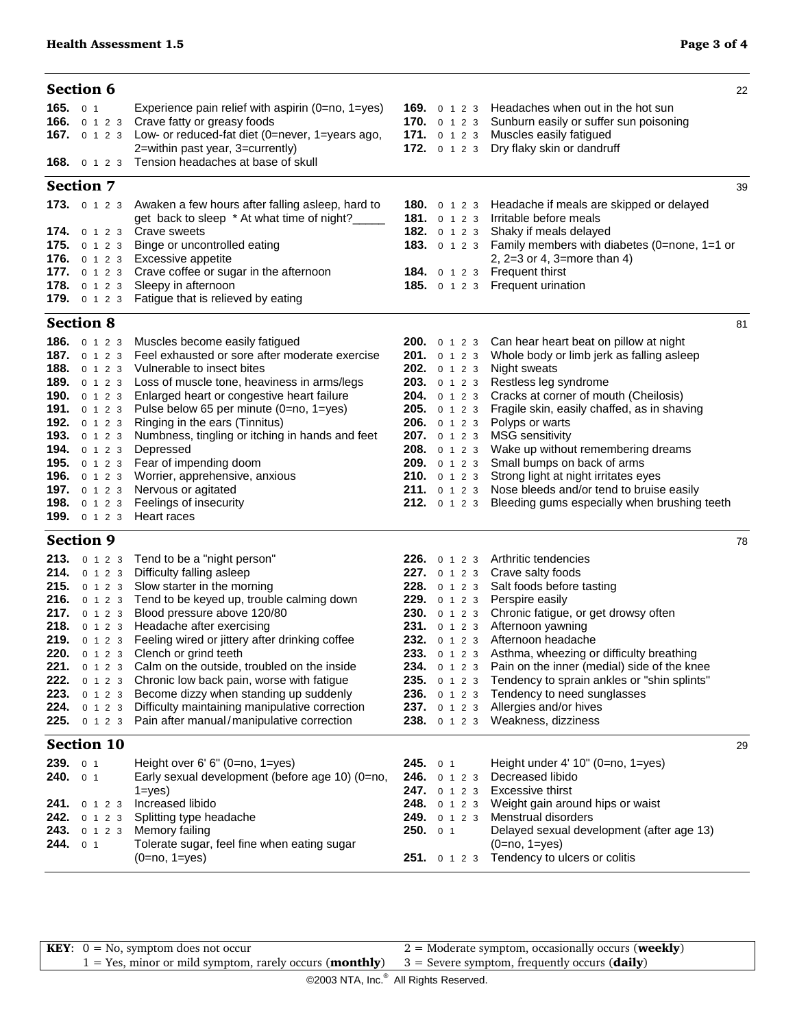| <b>Section 6</b>                                                                                                                                                  |                                                                                                                                                                                                                                                                                                                                                                                                                                                                                                                                                                                                                                                          |                                          |                                                                                                                                                                                                                                            |                                                                                                                                                                                                                                                                                                                                                                                                                                                                                                   | 22 |
|-------------------------------------------------------------------------------------------------------------------------------------------------------------------|----------------------------------------------------------------------------------------------------------------------------------------------------------------------------------------------------------------------------------------------------------------------------------------------------------------------------------------------------------------------------------------------------------------------------------------------------------------------------------------------------------------------------------------------------------------------------------------------------------------------------------------------------------|------------------------------------------|--------------------------------------------------------------------------------------------------------------------------------------------------------------------------------------------------------------------------------------------|---------------------------------------------------------------------------------------------------------------------------------------------------------------------------------------------------------------------------------------------------------------------------------------------------------------------------------------------------------------------------------------------------------------------------------------------------------------------------------------------------|----|
| 165. $01$                                                                                                                                                         | Experience pain relief with aspirin $(0=no, 1=yes)$<br>166. 0 1 2 3 Crave fatty or greasy foods<br>167. 0 1 2 3 Low- or reduced-fat diet (0=never, 1=years ago,<br>2=within past year, 3=currently)<br><b>168.</b> 0 1 2 3 Tension headaches at base of skull                                                                                                                                                                                                                                                                                                                                                                                            |                                          | 170. 0 1 2 3<br>171. $0 1 2 3$<br><b>172.</b> $0 1 2 3$                                                                                                                                                                                    | 169. 0 1 2 3 Headaches when out in the hot sun<br>Sunburn easily or suffer sun poisoning<br>Muscles easily fatigued<br>Dry flaky skin or dandruff                                                                                                                                                                                                                                                                                                                                                 |    |
| <b>Section 7</b>                                                                                                                                                  |                                                                                                                                                                                                                                                                                                                                                                                                                                                                                                                                                                                                                                                          |                                          |                                                                                                                                                                                                                                            |                                                                                                                                                                                                                                                                                                                                                                                                                                                                                                   | 39 |
| <b>173.</b> 0 1 2 3                                                                                                                                               | Awaken a few hours after falling asleep, hard to<br>get back to sleep * At what time of night?____<br>174. 0 1 2 3 Crave sweets<br>175. 0 1 2 3 Binge or uncontrolled eating<br>176. 0 1 2 3 Excessive appetite<br>177. 0 1 2 3 Crave coffee or sugar in the afternoon<br>178. 0 1 2 3 Sleepy in afternoon<br>179. 0 1 2 3 Fatigue that is relieved by eating                                                                                                                                                                                                                                                                                            |                                          | 181. 0 1 2 3<br>182. 0 1 2 3                                                                                                                                                                                                               | <b>180.</b> o 1 2 3 Headache if meals are skipped or delayed<br>Irritable before meals<br>Shaky if meals delayed<br>183. 0 1 2 3 Family members with diabetes (0=none, 1=1 or<br>2, $2=3$ or 4, $3=$ more than 4)<br>184. 0 1 2 3 Frequent thirst<br>185. 0 1 2 3 Frequent urination                                                                                                                                                                                                              |    |
| <b>Section 8</b>                                                                                                                                                  |                                                                                                                                                                                                                                                                                                                                                                                                                                                                                                                                                                                                                                                          |                                          |                                                                                                                                                                                                                                            |                                                                                                                                                                                                                                                                                                                                                                                                                                                                                                   | 81 |
| 186. 0 1 2 3<br>187. 0 1 2 3<br>188. 0 1 2 3<br>192. 0 1 2 3<br>193. 0 1 2 3<br><b>194.</b> 0 1 2 3<br>196. 0 1 2 3<br><b>197.</b> 0 1 2 3<br><b>199.</b> 0 1 2 3 | Muscles become easily fatigued<br>Feel exhausted or sore after moderate exercise<br>Vulnerable to insect bites<br>189. 0 1 2 3 Loss of muscle tone, heaviness in arms/legs<br>190. 0 1 2 3 Enlarged heart or congestive heart failure<br>191. 0 1 2 3 Pulse below 65 per minute (0=no, 1=yes)<br>Ringing in the ears (Tinnitus)<br>Numbness, tingling or itching in hands and feet<br>Depressed<br>195. 0 1 2 3 Fear of impending doom<br>Worrier, apprehensive, anxious<br>Nervous or agitated<br>198. 0 1 2 3 Feelings of insecurity<br>Heart races                                                                                                    |                                          | <b>201.</b> 0 1 2 3<br>202. 0 1 2 3<br><b>203.</b> $0 1 2 3$<br><b>204.</b> 0 1 2 3<br><b>205.</b> 0 1 2 3<br><b>206.</b> 0 1 2 3<br>207. 0 1 2 3<br>208. 0 1 2 3<br>209. 0 1 2 3<br><b>210.</b> $0 1 2 3$<br>211. 0 1 2 3<br>212. 0 1 2 3 | <b>200.</b> 0 1 2 3 Can hear heart beat on pillow at night<br>Whole body or limb jerk as falling asleep<br>Night sweats<br>Restless leg syndrome<br>Cracks at corner of mouth (Cheilosis)<br>Fragile skin, easily chaffed, as in shaving<br>Polyps or warts<br><b>MSG</b> sensitivity<br>Wake up without remembering dreams<br>Small bumps on back of arms<br>Strong light at night irritates eyes<br>Nose bleeds and/or tend to bruise easily<br>Bleeding gums especially when brushing teeth    |    |
| <b>Section 9</b>                                                                                                                                                  |                                                                                                                                                                                                                                                                                                                                                                                                                                                                                                                                                                                                                                                          |                                          |                                                                                                                                                                                                                                            |                                                                                                                                                                                                                                                                                                                                                                                                                                                                                                   | 78 |
| 221.<br>222.<br>223.<br>0 1 2 3<br>224.<br>225.                                                                                                                   | 213. 0 1 2 3 Tend to be a "night person"<br>214. 0 1 2 3 Difficulty falling asleep<br>215. 0 1 2 3 Slow starter in the morning<br>216. 0 1 2 3 Tend to be keyed up, trouble calming down<br>217. 0 1 2 3 Blood pressure above 120/80<br>218. 0 1 2 3 Headache after exercising<br>219. 0 1 2 3 Feeling wired or jittery after drinking coffee<br>220. 0 1 2 3 Clench or grind teeth<br>0 1 2 3 Calm on the outside, troubled on the inside<br>0 1 2 3 Chronic low back pain, worse with fatigue<br>Become dizzy when standing up suddenly<br>0 1 2 3 Difficulty maintaining manipulative correction<br>0 1 2 3 Pain after manual/manipulative correction | 236.                                     | <b>227.</b> 0 1 2 3<br>231. 0 1 2 3<br>235. 0 1 2 3<br>0 1 2 3<br>237. 0 1 2 3<br>238. 0 1 2 3                                                                                                                                             | 226. 0 1 2 3 Arthritic tendencies<br>Crave salty foods<br>228. 0 1 2 3 Salt foods before tasting<br>229. 0 1 2 3 Perspire easily<br>230. 0 1 2 3 Chronic fatigue, or get drowsy often<br>Afternoon yawning<br>232. 0 1 2 3 Afternoon headache<br>233. 0 1 2 3 Asthma, wheezing or difficulty breathing<br>234. 0 1 2 3 Pain on the inner (medial) side of the knee<br>Tendency to sprain ankles or "shin splints"<br>Tendency to need sunglasses<br>Allergies and/or hives<br>Weakness, dizziness |    |
| <b>Section 10</b>                                                                                                                                                 |                                                                                                                                                                                                                                                                                                                                                                                                                                                                                                                                                                                                                                                          |                                          |                                                                                                                                                                                                                                            |                                                                                                                                                                                                                                                                                                                                                                                                                                                                                                   | 29 |
| 239. 0 1<br>240.<br>0 <sub>1</sub><br>241.<br>0 1 2 3<br>242.<br>0 1 2 3<br>243.<br>0 1 2 3<br>244.<br>0 <sub>1</sub>                                             | Height over 6' 6" (0=no, 1=yes)<br>Early sexual development (before age 10) (0=no,<br>$1 = yes$ )<br>Increased libido<br>Splitting type headache<br>Memory failing<br>Tolerate sugar, feel fine when eating sugar<br>$(0=no, 1=yes)$                                                                                                                                                                                                                                                                                                                                                                                                                     | 245.01<br>247.<br>248.<br>249.<br>250.01 | 246. 0 1 2 3<br>0 1 2 3<br>0 1 2 3<br>0 1 2 3<br>251. 0 1 2 3                                                                                                                                                                              | Height under $4'$ 10" (0=no, 1=yes)<br>Decreased libido<br>Excessive thirst<br>Weight gain around hips or waist<br>Menstrual disorders<br>Delayed sexual development (after age 13)<br>$(0=no, 1=yes)$<br>Tendency to ulcers or colitis                                                                                                                                                                                                                                                           |    |

**KEY**:  $0 = No$ , symptom does not occur 1 = Yes, minor or mild symptom, rarely occurs (**monthly**) 2 = Moderate symptom, occasionally occurs (**weekly**) 3 = Severe symptom, frequently occurs (**daily**)